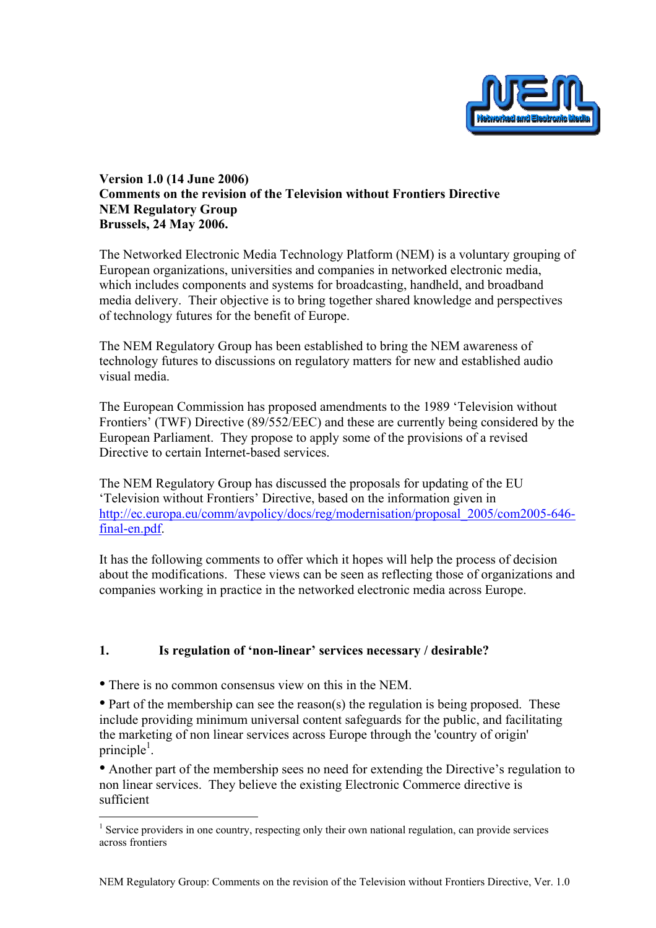

### Version 1.0 (14 June 2006) Comments on the revision of the Television without Frontiers Directive NEM Regulatory Group Brussels, 24 May 2006.

The Networked Electronic Media Technology Platform (NEM) is a voluntary grouping of European organizations, universities and companies in networked electronic media, which includes components and systems for broadcasting, handheld, and broadband media delivery. Their objective is to bring together shared knowledge and perspectives of technology futures for the benefit of Europe.

The NEM Regulatory Group has been established to bring the NEM awareness of technology futures to discussions on regulatory matters for new and established audio visual media.

The European Commission has proposed amendments to the 1989 'Television without Frontiers' (TWF) Directive (89/552/EEC) and these are currently being considered by the European Parliament. They propose to apply some of the provisions of a revised Directive to certain Internet-based services.

The NEM Regulatory Group has discussed the proposals for updating of the EU 'Television without Frontiers' Directive, based on the information given in http://ec.europa.eu/comm/avpolicy/docs/reg/modernisation/proposal\_2005/com2005-646 final-en.pdf.

It has the following comments to offer which it hopes will help the process of decision about the modifications. These views can be seen as reflecting those of organizations and companies working in practice in the networked electronic media across Europe.

## 1. Is regulation of 'non-linear' services necessary / desirable?

• There is no common consensus view on this in the NEM.

 $\overline{a}$ 

• Part of the membership can see the reason(s) the regulation is being proposed. These include providing minimum universal content safeguards for the public, and facilitating the marketing of non linear services across Europe through the 'country of origin' principle<sup>1</sup>.

• Another part of the membership sees no need for extending the Directive's regulation to non linear services. They believe the existing Electronic Commerce directive is sufficient

<sup>&</sup>lt;sup>1</sup> Service providers in one country, respecting only their own national regulation, can provide services across frontiers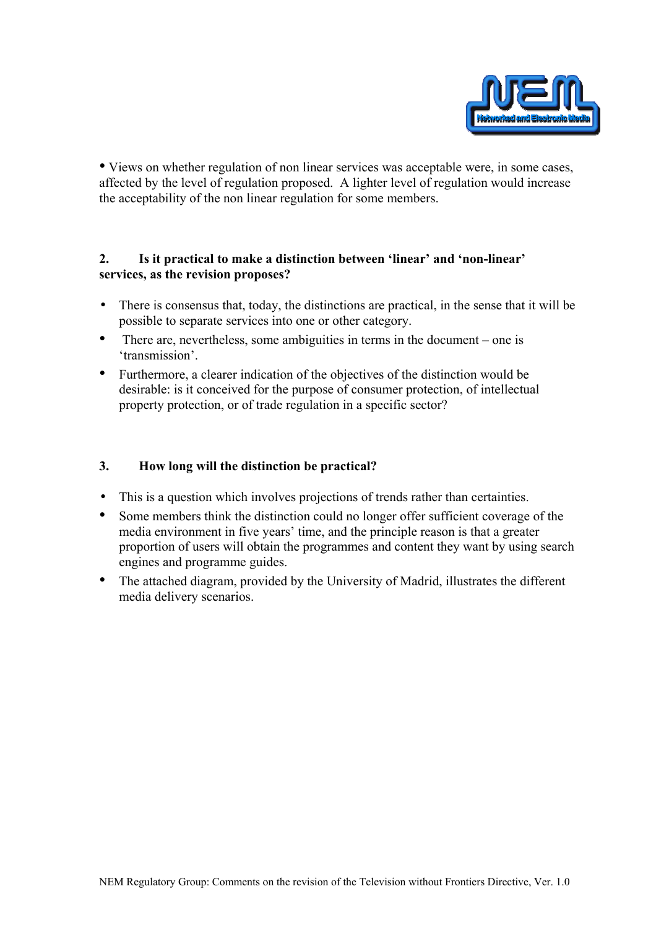

• Views on whether regulation of non linear services was acceptable were, in some cases, affected by the level of regulation proposed. A lighter level of regulation would increase the acceptability of the non linear regulation for some members.

### 2. Is it practical to make a distinction between 'linear' and 'non-linear' services, as the revision proposes?

- There is consensus that, today, the distinctions are practical, in the sense that it will be possible to separate services into one or other category.
- There are, nevertheless, some ambiguities in terms in the document one is 'transmission'.
- Furthermore, a clearer indication of the objectives of the distinction would be desirable: is it conceived for the purpose of consumer protection, of intellectual property protection, or of trade regulation in a specific sector?

### 3. How long will the distinction be practical?

- This is a question which involves projections of trends rather than certainties.
- Some members think the distinction could no longer offer sufficient coverage of the media environment in five years' time, and the principle reason is that a greater proportion of users will obtain the programmes and content they want by using search engines and programme guides.
- The attached diagram, provided by the University of Madrid, illustrates the different media delivery scenarios.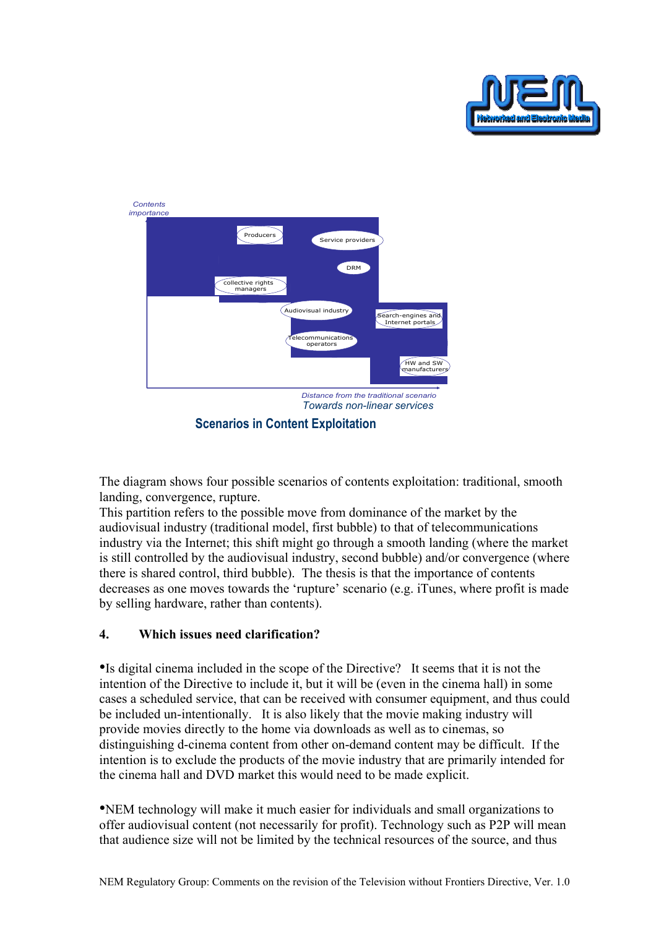



Scenarios in Content Exploitation

The diagram shows four possible scenarios of contents exploitation: traditional, smooth landing, convergence, rupture.

This partition refers to the possible move from dominance of the market by the audiovisual industry (traditional model, first bubble) to that of telecommunications industry via the Internet; this shift might go through a smooth landing (where the market is still controlled by the audiovisual industry, second bubble) and/or convergence (where there is shared control, third bubble). The thesis is that the importance of contents decreases as one moves towards the 'rupture' scenario (e.g. iTunes, where profit is made by selling hardware, rather than contents).

# 4. Which issues need clarification?

•Is digital cinema included in the scope of the Directive? It seems that it is not the intention of the Directive to include it, but it will be (even in the cinema hall) in some cases a scheduled service, that can be received with consumer equipment, and thus could be included un-intentionally. It is also likely that the movie making industry will provide movies directly to the home via downloads as well as to cinemas, so distinguishing d-cinema content from other on-demand content may be difficult. If the intention is to exclude the products of the movie industry that are primarily intended for the cinema hall and DVD market this would need to be made explicit.

•NEM technology will make it much easier for individuals and small organizations to offer audiovisual content (not necessarily for profit). Technology such as P2P will mean that audience size will not be limited by the technical resources of the source, and thus